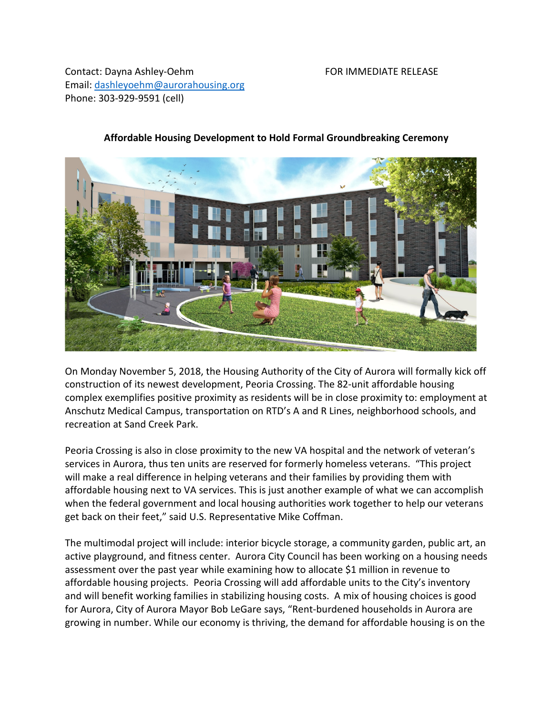Contact: Dayna Ashley-Oehm FOR IMMEDIATE RELEASE Email: [dashleyoehm@aurorahousing.org](mailto:dashleyoehm@aurorahousing.org) Phone: 303-929-9591 (cell)



## **Affordable Housing Development to Hold Formal Groundbreaking Ceremony**

On Monday November 5, 2018, the Housing Authority of the City of Aurora will formally kick off construction of its newest development, Peoria Crossing. The 82-unit affordable housing complex exemplifies positive proximity as residents will be in close proximity to: employment at Anschutz Medical Campus, transportation on RTD's A and R Lines, neighborhood schools, and recreation at Sand Creek Park.

Peoria Crossing is also in close proximity to the new VA hospital and the network of veteran's services in Aurora, thus ten units are reserved for formerly homeless veterans. "This project will make a real difference in helping veterans and their families by providing them with affordable housing next to VA services. This is just another example of what we can accomplish when the federal government and local housing authorities work together to help our veterans get back on their feet," said U.S. Representative Mike Coffman.

The multimodal project will include: interior bicycle storage, a community garden, public art, an active playground, and fitness center. Aurora City Council has been working on a housing needs assessment over the past year while examining how to allocate \$1 million in revenue to affordable housing projects. Peoria Crossing will add affordable units to the City's inventory and will benefit working families in stabilizing housing costs. A mix of housing choices is good for Aurora, City of Aurora Mayor Bob LeGare says, "Rent-burdened households in Aurora are growing in number. While our economy is thriving, the demand for affordable housing is on the